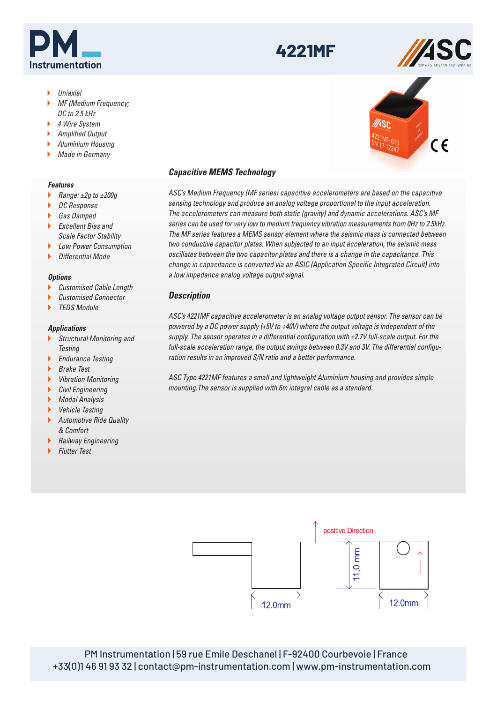# *ASC 4221MF MEMS Capacitive Accelerometer*

- Uniaxial
- MF (Medium Frequency; DC to 2.5 kHz
- ▶ 4 Wire System
- ▶ Amplified Output
- Aluminium Housing
- Made in Germany

#### *Features*

- Range:  $\pm 2g$  to  $\pm 200g$
- ▶ DC Response
- ▶ Gas Damped
- $\blacktriangleright$  Excellent Rias and Scale Factor Stability
- **Low Power Consumption**
- $\blacktriangleright$  Differential Mode

# *Options*

- ▶ Customised Cable Length
- Customised Connector
- TEDS Module

#### *Applications*

- **Structural Monitoring and Testing**
- **Endurance Testing**
- ▶ Brake Test
- Vibration Monitoring
- **Civil Engineering**
- ▶ Modal Analysis
- ▶ Vehicle Testing
- **Automotive Ride Quality** & Comfort
- **Railway Engineering**
- **Flutter Test**



ASC's Medium Frequency (MF series) capacitive accelerometers are based on the capacitive sensing technology and produce an analog voltage proportional to the input acceleration. The accelerometers can measure both static (gravity) and dynamic accelerations. ASC's MF series can be used for very low to medium frequency vibration measurements from 0Hz to 2.5kHz. The MF series features a MEMS sensor element where the seismic mass is connected between two conductive capacitor plates. When subjected to an input acceleration, the seismic mass oscillates between the two capacitor plates and there is a change in the capacitance. This change in capacitance is converted via an ASIC (Application Specific Integrated Circuit) into a low impedance analog voltage output signal.

**4221MF**

# *Description*

ASC's 4221MF capacitive accelerometer is an analog voltage output sensor. The sensor can be powered by a DC power supply (+5V to +40V) where the output voltage is independent of the supply. The sensor operates in a differential configuration with  $\pm$ 2.7V full-scale output. For the full-scale acceleration range, the output swings between 0.3V and 3V. The differential configuration results in an improved S/N ratio and a better performance.

ASC Type 4221MF features a small and lightweight Aluminium housing and provides simple mounting.The sensor is supplied with 6m integral cable as a standard.



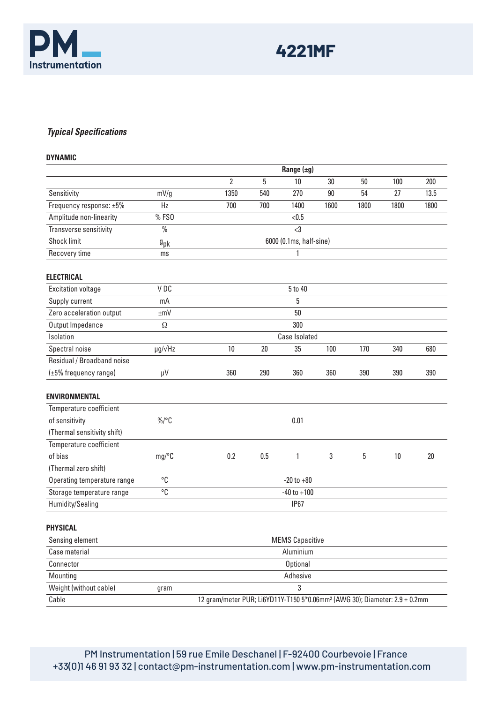

# *Typical Specifications*

| <b>DYNAMIC</b>              |                      |                                                                                        |     |             |        |      |      |      |
|-----------------------------|----------------------|----------------------------------------------------------------------------------------|-----|-------------|--------|------|------|------|
|                             |                      | Range $(\pm g)$                                                                        |     |             |        |      |      |      |
|                             |                      | $\overline{2}$                                                                         | 5   | 10          | 30     | 50   | 100  | 200  |
| Sensitivity                 | mV/g                 | 1350                                                                                   | 540 | 270         | $90\,$ | 54   | 27   | 13.5 |
| Frequency response: ±5%     | Hz                   | 700                                                                                    | 700 | 1400        | 1600   | 1800 | 1800 | 1800 |
| Amplitude non-linearity     | % FSO                |                                                                                        |     | < 0.5       |        |      |      |      |
| Transverse sensitivity      | $\frac{0}{0}$        |                                                                                        |     | $\langle$ 3 |        |      |      |      |
| <b>Shock limit</b>          | $9$ pk               | 6000 (0.1ms, half-sine)                                                                |     |             |        |      |      |      |
| Recovery time               | ms                   | 1                                                                                      |     |             |        |      |      |      |
| <b>ELECTRICAL</b>           |                      |                                                                                        |     |             |        |      |      |      |
| <b>Excitation voltage</b>   | VDC                  |                                                                                        |     | 5 to 40     |        |      |      |      |
| Supply current              | mA                   |                                                                                        | 5   |             |        |      |      |      |
| Zero acceleration output    | $\pm mV$             |                                                                                        |     | 50          |        |      |      |      |
| Output Impedance            | Ω                    |                                                                                        |     | 300         |        |      |      |      |
| Isolation                   |                      | <b>Case Isolated</b>                                                                   |     |             |        |      |      |      |
| Spectral noise              | $\mu$ g/ $\sqrt{Hz}$ | 10                                                                                     | 20  | 35          | 100    | 170  | 340  | 680  |
| Residual / Broadband noise  |                      |                                                                                        |     |             |        |      |      |      |
| (±5% frequency range)       | μV                   | 360                                                                                    | 290 | 360         | 360    | 390  | 390  | 390  |
| <b>ENVIRONMENTAL</b>        |                      |                                                                                        |     |             |        |      |      |      |
| Temperature coefficient     |                      |                                                                                        |     |             |        |      |      |      |
| of sensitivity              | $\%$ /°C             |                                                                                        |     | 0.01        |        |      |      |      |
| (Thermal sensitivity shift) |                      |                                                                                        |     |             |        |      |      |      |
| Temperature coefficient     |                      |                                                                                        |     |             |        |      |      |      |
| of bias                     | mg/C                 | 0.2                                                                                    | 0.5 | 1           | 3      | 5    | 10   | 20   |
| (Thermal zero shift)        |                      |                                                                                        |     |             |        |      |      |      |
| Operating temperature range | °C                   | $-20$ to $+80$                                                                         |     |             |        |      |      |      |
| Storage temperature range   | °C                   | $-40$ to $+100$                                                                        |     |             |        |      |      |      |
| Humidity/Sealing            |                      | <b>IP67</b>                                                                            |     |             |        |      |      |      |
| PHYSICAL                    |                      |                                                                                        |     |             |        |      |      |      |
| Sensing element             |                      | <b>MEMS Capacitive</b>                                                                 |     |             |        |      |      |      |
| Case material               |                      | Aluminium                                                                              |     |             |        |      |      |      |
| Connector                   |                      | <b>Optional</b>                                                                        |     |             |        |      |      |      |
| Mounting                    |                      | Adhesive                                                                               |     |             |        |      |      |      |
| Weight (without cable)      | gram                 | 3                                                                                      |     |             |        |      |      |      |
| Cable                       |                      | 12 gram/meter PUR; Li6YD11Y-T150 5*0.06mm <sup>2</sup> (AWG 30); Diameter: 2.9 ± 0.2mm |     |             |        |      |      |      |

PM Instrumentation | 59 rue Emile Deschanel | F-92400 Courbevoie | France +33(0)1 46 91 93 32 | contact@pm-instrumentation.com | www.pm-instrumentation.com